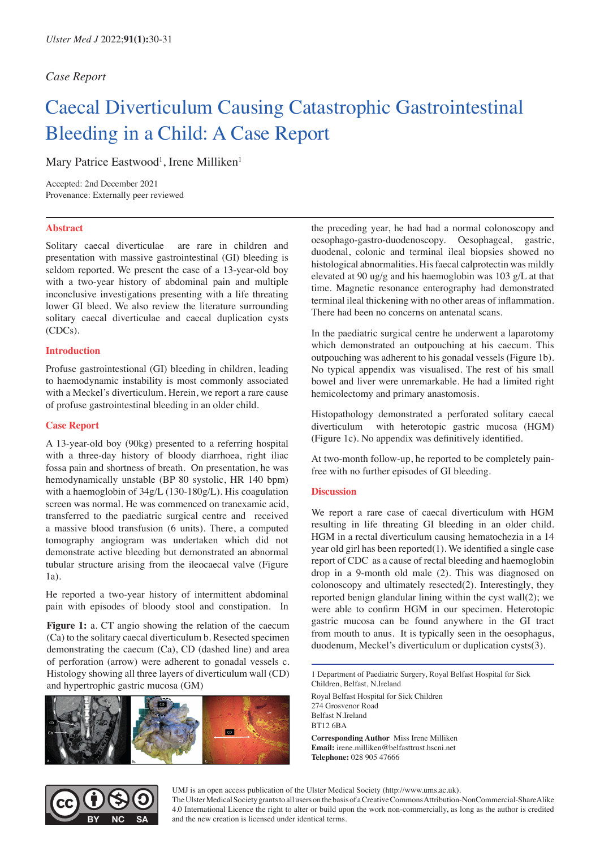## *Case Report*

# Caecal Diverticulum Causing Catastrophic Gastrointestinal Bleeding in a Child: A Case Report

Mary Patrice Eastwood<sup>1</sup>, Irene Milliken<sup>1</sup>

Accepted: 2nd December 2021 Provenance: Externally peer reviewed

#### **Abstract**

Solitary caecal diverticulae are rare in children and presentation with massive gastrointestinal (GI) bleeding is seldom reported. We present the case of a 13-year-old boy with a two-year history of abdominal pain and multiple inconclusive investigations presenting with a life threating lower GI bleed. We also review the literature surrounding solitary caecal diverticulae and caecal duplication cysts (CDCs).

## **Introduction**

Profuse gastrointestional (GI) bleeding in children, leading to haemodynamic instability is most commonly associated with a Meckel's diverticulum. Herein, we report a rare cause of profuse gastrointestinal bleeding in an older child.

#### **Case Report**

A 13-year-old boy (90kg) presented to a referring hospital with a three-day history of bloody diarrhoea, right iliac fossa pain and shortness of breath. On presentation, he was hemodynamically unstable (BP 80 systolic, HR 140 bpm) with a haemoglobin of 34g/L (130-180g/L). His coagulation screen was normal. He was commenced on tranexamic acid, transferred to the paediatric surgical centre and received a massive blood transfusion (6 units). There, a computed tomography angiogram was undertaken which did not demonstrate active bleeding but demonstrated an abnormal tubular structure arising from the ileocaecal valve (Figure 1a).

He reported a two-year history of intermittent abdominal pain with episodes of bloody stool and constipation. In

**Figure 1:** a. CT angio showing the relation of the caecum (Ca) to the solitary caecal diverticulum b. Resected specimen demonstrating the caecum (Ca), CD (dashed line) and area of perforation (arrow) were adherent to gonadal vessels c. Histology showing all three layers of diverticulum wall (CD) and hypertrophic gastric mucosa (GM)



the preceding year, he had had a normal colonoscopy and oesophago-gastro-duodenoscopy. Oesophageal, gastric, duodenal, colonic and terminal ileal biopsies showed no histological abnormalities. His faecal calprotectin was mildly elevated at 90 ug/g and his haemoglobin was 103 g/L at that time. Magnetic resonance enterography had demonstrated terminal ileal thickening with no other areas of inflammation. There had been no concerns on antenatal scans.

In the paediatric surgical centre he underwent a laparotomy which demonstrated an outpouching at his caecum. This outpouching was adherent to his gonadal vessels (Figure 1b). No typical appendix was visualised. The rest of his small bowel and liver were unremarkable. He had a limited right hemicolectomy and primary anastomosis.

Histopathology demonstrated a perforated solitary caecal diverticulum with heterotopic gastric mucosa (HGM) (Figure 1c). No appendix was definitively identified.

At two-month follow-up, he reported to be completely painfree with no further episodes of GI bleeding.

## **Discussion**

We report a rare case of caecal diverticulum with HGM resulting in life threating GI bleeding in an older child. HGM in a rectal diverticulum causing hematochezia in a 14 year old girl has been reported(1). We identified a single case report of CDC as a cause of rectal bleeding and haemoglobin drop in a 9-month old male (2). This was diagnosed on colonoscopy and ultimately resected(2). Interestingly, they reported benign glandular lining within the cyst wall(2); we were able to confirm HGM in our specimen. Heterotopic gastric mucosa can be found anywhere in the GI tract from mouth to anus. It is typically seen in the oesophagus, duodenum, Meckel's diverticulum or duplication cysts(3).

1 Department of Paediatric Surgery, Royal Belfast Hospital for Sick Children, Belfast, N.Ireland

Royal Belfast Hospital for Sick Children 274 Grosvenor Road Belfast N.Ireland BT12 6BA

**Corresponding Author** Miss Irene Milliken **Email:** irene.milliken@belfasttrust.hscni.net **Telephone:** 028 905 47666



UMJ is an open access publication of the Ulster Medical Society (http://www.ums.ac.uk).

The Ulster Medical Society grants to all users on the basis of a Creative Commons Attribution-NonCommercial-ShareAlike 4.0 International Licence the right to alter or build upon the work non-commercially, as long as the author is credited and the new creation is licensed under identical terms.